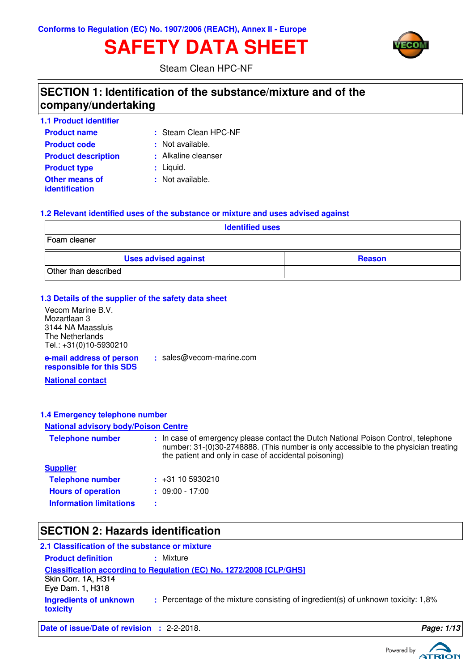# **SAFETY DATA SHEET**



Steam Clean HPC-NF

### **SECTION 1: Identification of the substance/mixture and of the company/undertaking**

| <b>1.1 Product identifier</b>                  |                      |
|------------------------------------------------|----------------------|
| <b>Product name</b>                            | : Steam Clean HPC-NF |
| <b>Product code</b>                            | Not available.<br>÷. |
| <b>Product description</b>                     | : Alkaline cleanser  |
| <b>Product type</b>                            | $:$ Liquid.          |
| <b>Other means of</b><br><i>identification</i> | : Not available.     |

#### **1.2 Relevant identified uses of the substance or mixture and uses advised against**

| <b>Identified uses</b>      |               |  |
|-----------------------------|---------------|--|
| Foam cleaner                |               |  |
| <b>Uses advised against</b> | <b>Reason</b> |  |
| Other than described        |               |  |

#### **1.3 Details of the supplier of the safety data sheet**

**e-mail address of person responsible for this SDS :** sales@vecom-marine.com **National contact** Vecom Marine B.V. Mozartlaan 3 3144 NA Maassluis The Netherlands Tel.: +31(0)10-5930210

#### **1.4 Emergency telephone number**

#### **National advisory body/Poison Centre**

| <b>Telephone number</b>        | : In case of emergency please contact the Dutch National Poison Control, telephone<br>number: 31-(0)30-2748888. (This number is only accessible to the physician treating<br>the patient and only in case of accidental poisoning) |
|--------------------------------|------------------------------------------------------------------------------------------------------------------------------------------------------------------------------------------------------------------------------------|
| <b>Supplier</b>                |                                                                                                                                                                                                                                    |
| <b>Telephone number</b>        | $\div$ +31 10 5930210                                                                                                                                                                                                              |
| <b>Hours of operation</b>      | $: 09:00 - 17:00$                                                                                                                                                                                                                  |
| <b>Information limitations</b> |                                                                                                                                                                                                                                    |

### **SECTION 2: Hazards identification**

| 2.1 Classification of the substance or mixture |                                                                                   |
|------------------------------------------------|-----------------------------------------------------------------------------------|
| <b>Product definition</b>                      | : Mixture                                                                         |
|                                                | Classification according to Regulation (EC) No. 1272/2008 [CLP/GHS]               |
| Skin Corr. 1A, H314<br>Eye Dam. 1, H318        |                                                                                   |
| Ingredients of unknown<br>toxicity             | : Percentage of the mixture consisting of ingredient(s) of unknown toxicity: 1,8% |

**Date of issue/Date of revision :** 2-2-2018. **Page: 1/13** 

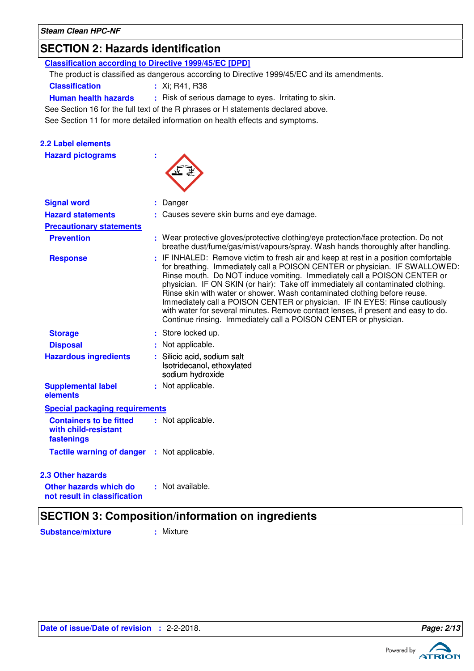### **SECTION 2: Hazards identification**

| <b>Classification according to Directive 1999/45/EC [DPD]</b>        |                                                                                                                                                                                                                                                                                                                                                                                                                                                                                                                                                                                                                                                         |
|----------------------------------------------------------------------|---------------------------------------------------------------------------------------------------------------------------------------------------------------------------------------------------------------------------------------------------------------------------------------------------------------------------------------------------------------------------------------------------------------------------------------------------------------------------------------------------------------------------------------------------------------------------------------------------------------------------------------------------------|
|                                                                      | The product is classified as dangerous according to Directive 1999/45/EC and its amendments.                                                                                                                                                                                                                                                                                                                                                                                                                                                                                                                                                            |
| <b>Classification</b>                                                | : Xi; R41, R38                                                                                                                                                                                                                                                                                                                                                                                                                                                                                                                                                                                                                                          |
| <b>Human health hazards</b>                                          | : Risk of serious damage to eyes. Irritating to skin.                                                                                                                                                                                                                                                                                                                                                                                                                                                                                                                                                                                                   |
|                                                                      | See Section 16 for the full text of the R phrases or H statements declared above.                                                                                                                                                                                                                                                                                                                                                                                                                                                                                                                                                                       |
|                                                                      | See Section 11 for more detailed information on health effects and symptoms.                                                                                                                                                                                                                                                                                                                                                                                                                                                                                                                                                                            |
|                                                                      |                                                                                                                                                                                                                                                                                                                                                                                                                                                                                                                                                                                                                                                         |
| <b>2.2 Label elements</b>                                            |                                                                                                                                                                                                                                                                                                                                                                                                                                                                                                                                                                                                                                                         |
| <b>Hazard pictograms</b>                                             |                                                                                                                                                                                                                                                                                                                                                                                                                                                                                                                                                                                                                                                         |
|                                                                      |                                                                                                                                                                                                                                                                                                                                                                                                                                                                                                                                                                                                                                                         |
|                                                                      |                                                                                                                                                                                                                                                                                                                                                                                                                                                                                                                                                                                                                                                         |
|                                                                      |                                                                                                                                                                                                                                                                                                                                                                                                                                                                                                                                                                                                                                                         |
| <b>Signal word</b>                                                   | : Danger                                                                                                                                                                                                                                                                                                                                                                                                                                                                                                                                                                                                                                                |
| <b>Hazard statements</b>                                             | : Causes severe skin burns and eye damage.                                                                                                                                                                                                                                                                                                                                                                                                                                                                                                                                                                                                              |
| <b>Precautionary statements</b>                                      |                                                                                                                                                                                                                                                                                                                                                                                                                                                                                                                                                                                                                                                         |
| <b>Prevention</b>                                                    | : Wear protective gloves/protective clothing/eye protection/face protection. Do not<br>breathe dust/fume/gas/mist/vapours/spray. Wash hands thoroughly after handling.                                                                                                                                                                                                                                                                                                                                                                                                                                                                                  |
| <b>Response</b>                                                      | : IF INHALED: Remove victim to fresh air and keep at rest in a position comfortable<br>for breathing. Immediately call a POISON CENTER or physician. IF SWALLOWED:<br>Rinse mouth. Do NOT induce vomiting. Immediately call a POISON CENTER or<br>physician. IF ON SKIN (or hair): Take off immediately all contaminated clothing.<br>Rinse skin with water or shower. Wash contaminated clothing before reuse.<br>Immediately call a POISON CENTER or physician. IF IN EYES: Rinse cautiously<br>with water for several minutes. Remove contact lenses, if present and easy to do.<br>Continue rinsing. Immediately call a POISON CENTER or physician. |
| <b>Storage</b>                                                       | : Store locked up.                                                                                                                                                                                                                                                                                                                                                                                                                                                                                                                                                                                                                                      |
| <b>Disposal</b>                                                      | : Not applicable.                                                                                                                                                                                                                                                                                                                                                                                                                                                                                                                                                                                                                                       |
| <b>Hazardous ingredients</b>                                         | Silicic acid, sodium salt<br>Isotridecanol, ethoxylated<br>sodium hydroxide                                                                                                                                                                                                                                                                                                                                                                                                                                                                                                                                                                             |
| <b>Supplemental label</b><br>elements                                | : Not applicable.                                                                                                                                                                                                                                                                                                                                                                                                                                                                                                                                                                                                                                       |
| <b>Special packaging requirements</b>                                |                                                                                                                                                                                                                                                                                                                                                                                                                                                                                                                                                                                                                                                         |
| <b>Containers to be fitted</b><br>with child-resistant<br>fastenings | : Not applicable.                                                                                                                                                                                                                                                                                                                                                                                                                                                                                                                                                                                                                                       |
| <b>Tactile warning of danger</b>                                     | : Not applicable.                                                                                                                                                                                                                                                                                                                                                                                                                                                                                                                                                                                                                                       |
|                                                                      |                                                                                                                                                                                                                                                                                                                                                                                                                                                                                                                                                                                                                                                         |
| 2.3 Other hazards                                                    |                                                                                                                                                                                                                                                                                                                                                                                                                                                                                                                                                                                                                                                         |
| Other hazards which do<br>not result in classification               | : Not available.                                                                                                                                                                                                                                                                                                                                                                                                                                                                                                                                                                                                                                        |
|                                                                      |                                                                                                                                                                                                                                                                                                                                                                                                                                                                                                                                                                                                                                                         |

### **SECTION 3: Composition/information on ingredients**

**Substance/mixture :** Mixture

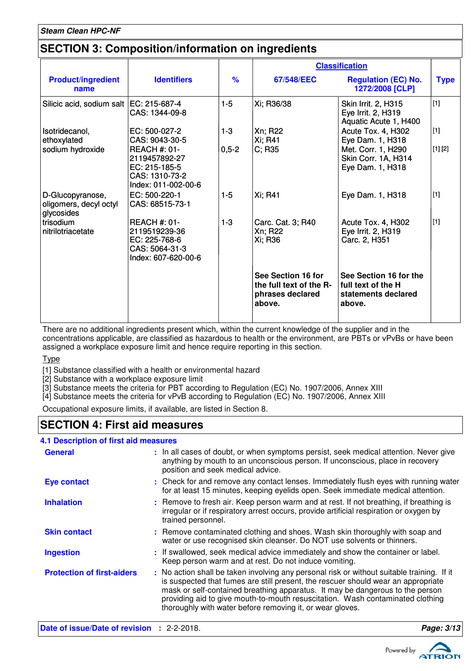### **SECTION 3: Composition/information on ingredients**

|                                                          |                                                                                                |                    | <b>Classification</b>                                                       |                                                                               |                  |
|----------------------------------------------------------|------------------------------------------------------------------------------------------------|--------------------|-----------------------------------------------------------------------------|-------------------------------------------------------------------------------|------------------|
| <b>Product/ingredient</b><br>name                        | <b>Identifiers</b>                                                                             | $\frac{9}{6}$      | 67/548/EEC                                                                  | <b>Regulation (EC) No.</b><br>1272/2008 [CLP]                                 | <b>Type</b>      |
| Silicic acid, sodium salt   EC: 215-687-4                | CAS: 1344-09-8                                                                                 | $1-5$              | Xi; R36/38                                                                  | Skin Irrit. 2, H315<br>Eye Irrit. 2, H319<br>Aquatic Acute 1, H400            | $[1]$            |
| Isotridecanol,<br>ethoxylated<br>sodium hydroxide        | EC: 500-027-2<br>CAS: 9043-30-5<br><b>REACH #: 01-</b>                                         | $1 - 3$<br>$0,5-2$ | Xn; R22<br>Xi; R41<br>C; R35                                                | Acute Tox. 4, H302<br>Eye Dam. 1, H318<br>Met. Corr. 1, H290                  | $[1]$<br>[1] [2] |
|                                                          | 2119457892-27<br>EC: 215-185-5<br>CAS: 1310-73-2<br>Index: 011-002-00-6                        |                    |                                                                             | Skin Corr. 1A, H314<br>Eye Dam. 1, H318                                       |                  |
| D-Glucopyranose,<br>oligomers, decyl octyl<br>glycosides | EC: 500-220-1<br>CAS: 68515-73-1                                                               | $1 - 5$            | Xi; R41                                                                     | Eye Dam. 1, H318                                                              | $[1]$            |
| trisodium<br>nitrilotriacetate                           | <b>REACH #: 01-</b><br>2119519239-36<br>EC: 225-768-6<br>CAS: 5064-31-3<br>Index: 607-620-00-6 | $1 - 3$            | Carc. Cat. 3; R40<br>Xn; R22<br>Xi; R36                                     | Acute Tox. 4, H302<br>Eye Irrit. 2, H319<br>Carc. 2, H351                     | $[1]$            |
|                                                          |                                                                                                |                    | See Section 16 for<br>the full text of the R-<br>phrases declared<br>above. | See Section 16 for the<br>full text of the H<br>statements declared<br>above. |                  |

There are no additional ingredients present which, within the current knowledge of the supplier and in the concentrations applicable, are classified as hazardous to health or the environment, are PBTs or vPvBs or have been assigned a workplace exposure limit and hence require reporting in this section.

Type

[1] Substance classified with a health or environmental hazard

[2] Substance with a workplace exposure limit

[3] Substance meets the criteria for PBT according to Regulation (EC) No. 1907/2006, Annex XIII

[4] Substance meets the criteria for vPvB according to Regulation (EC) No. 1907/2006, Annex XIII

Occupational exposure limits, if available, are listed in Section 8.

### **SECTION 4: First aid measures**

#### **4.1 Description of first aid measures**

| <b>General</b>                    | : In all cases of doubt, or when symptoms persist, seek medical attention. Never give<br>anything by mouth to an unconscious person. If unconscious, place in recovery<br>position and seek medical advice.                                                                                                                                                                                                     |
|-----------------------------------|-----------------------------------------------------------------------------------------------------------------------------------------------------------------------------------------------------------------------------------------------------------------------------------------------------------------------------------------------------------------------------------------------------------------|
| <b>Eye contact</b>                | : Check for and remove any contact lenses. Immediately flush eyes with running water<br>for at least 15 minutes, keeping eyelids open. Seek immediate medical attention.                                                                                                                                                                                                                                        |
| <b>Inhalation</b>                 | : Remove to fresh air. Keep person warm and at rest. If not breathing, if breathing is<br>irregular or if respiratory arrest occurs, provide artificial respiration or oxygen by<br>trained personnel.                                                                                                                                                                                                          |
| <b>Skin contact</b>               | : Remove contaminated clothing and shoes. Wash skin thoroughly with soap and<br>water or use recognised skin cleanser. Do NOT use solvents or thinners.                                                                                                                                                                                                                                                         |
| <b>Ingestion</b>                  | : If swallowed, seek medical advice immediately and show the container or label.<br>Keep person warm and at rest. Do not induce vomiting.                                                                                                                                                                                                                                                                       |
| <b>Protection of first-aiders</b> | : No action shall be taken involving any personal risk or without suitable training. If it<br>is suspected that fumes are still present, the rescuer should wear an appropriate<br>mask or self-contained breathing apparatus. It may be dangerous to the person<br>providing aid to give mouth-to-mouth resuscitation. Wash contaminated clothing<br>thoroughly with water before removing it, or wear gloves. |

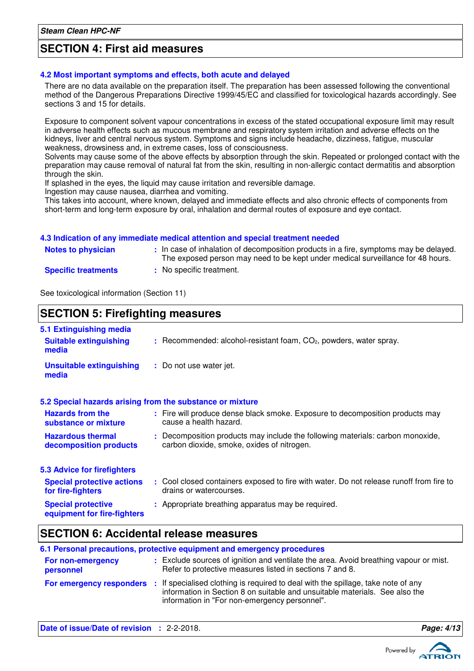### **SECTION 4: First aid measures**

#### **4.2 Most important symptoms and effects, both acute and delayed**

There are no data available on the preparation itself. The preparation has been assessed following the conventional method of the Dangerous Preparations Directive 1999/45/EC and classified for toxicological hazards accordingly. See sections 3 and 15 for details.

Exposure to component solvent vapour concentrations in excess of the stated occupational exposure limit may result in adverse health effects such as mucous membrane and respiratory system irritation and adverse effects on the kidneys, liver and central nervous system. Symptoms and signs include headache, dizziness, fatigue, muscular weakness, drowsiness and, in extreme cases, loss of consciousness.

Solvents may cause some of the above effects by absorption through the skin. Repeated or prolonged contact with the preparation may cause removal of natural fat from the skin, resulting in non-allergic contact dermatitis and absorption through the skin.

If splashed in the eyes, the liquid may cause irritation and reversible damage.

Ingestion may cause nausea, diarrhea and vomiting.

This takes into account, where known, delayed and immediate effects and also chronic effects of components from short-term and long-term exposure by oral, inhalation and dermal routes of exposure and eye contact.

#### **4.3 Indication of any immediate medical attention and special treatment needed**

| <b>Notes to physician</b>  | : In case of inhalation of decomposition products in a fire, symptoms may be delayed.<br>The exposed person may need to be kept under medical surveillance for 48 hours. |
|----------------------------|--------------------------------------------------------------------------------------------------------------------------------------------------------------------------|
| <b>Specific treatments</b> | : No specific treatment.                                                                                                                                                 |

See toxicological information (Section 11)

### **SECTION 5: Firefighting measures**

| 5.1 Extinguishing media                                   |                                                                                                                              |
|-----------------------------------------------------------|------------------------------------------------------------------------------------------------------------------------------|
| <b>Suitable extinguishing</b><br>media                    | $:$ Recommended: alcohol-resistant foam, $CO2$ , powders, water spray.                                                       |
| <b>Unsuitable extinguishing</b><br>media                  | : Do not use water jet.                                                                                                      |
| 5.2 Special hazards arising from the substance or mixture |                                                                                                                              |
| <b>Hazards from the</b><br>substance or mixture           | : Fire will produce dense black smoke. Exposure to decomposition products may<br>cause a health hazard.                      |
| <b>Hazardous thermal</b><br>decomposition products        | : Decomposition products may include the following materials: carbon monoxide,<br>carbon dioxide, smoke, oxides of nitrogen. |
| <b>5.3 Advice for firefighters</b>                        |                                                                                                                              |
| <b>Special protective actions</b><br>for fire-fighters    | : Cool closed containers exposed to fire with water. Do not release runoff from fire to<br>drains or watercourses.           |
| <b>Special protective</b><br>equipment for fire-fighters  | : Appropriate breathing apparatus may be required.                                                                           |

### **SECTION 6: Accidental release measures**

|                                | 6.1 Personal precautions, protective equipment and emergency procedures                                                                                                                                                                    |
|--------------------------------|--------------------------------------------------------------------------------------------------------------------------------------------------------------------------------------------------------------------------------------------|
| For non-emergency<br>personnel | : Exclude sources of ignition and ventilate the area. Avoid breathing vapour or mist.<br>Refer to protective measures listed in sections 7 and 8.                                                                                          |
|                                | For emergency responders : If specialised clothing is required to deal with the spillage, take note of any<br>information in Section 8 on suitable and unsuitable materials. See also the<br>information in "For non-emergency personnel". |

**Date of issue/Date of revision :** 2-2-2018. **Page: 4/13 Page: 4/13** 

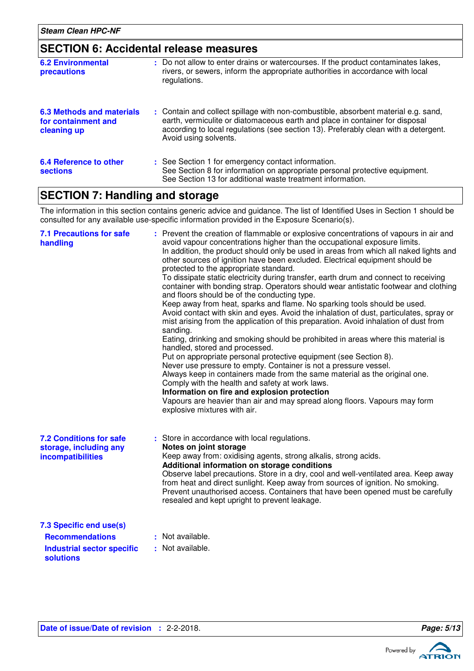### **SECTION 6: Accidental release measures**

| : Do not allow to enter drains or watercourses. If the product contaminates lakes,<br>rivers, or sewers, inform the appropriate authorities in accordance with local<br>regulations.                                                                                               |
|------------------------------------------------------------------------------------------------------------------------------------------------------------------------------------------------------------------------------------------------------------------------------------|
| : Contain and collect spillage with non-combustible, absorbent material e.g. sand,<br>earth, vermiculite or diatomaceous earth and place in container for disposal<br>according to local regulations (see section 13). Preferably clean with a detergent.<br>Avoid using solvents. |
| : See Section 1 for emergency contact information.<br>See Section 8 for information on appropriate personal protective equipment.<br>See Section 13 for additional waste treatment information.                                                                                    |
|                                                                                                                                                                                                                                                                                    |

### **SECTION 7: Handling and storage**

The information in this section contains generic advice and guidance. The list of Identified Uses in Section 1 should be consulted for any available use-specific information provided in the Exposure Scenario(s).

| <b>7.1 Precautions for safe</b><br>handling                                                                     | Prevent the creation of flammable or explosive concentrations of vapours in air and<br>avoid vapour concentrations higher than the occupational exposure limits.<br>In addition, the product should only be used in areas from which all naked lights and<br>other sources of ignition have been excluded. Electrical equipment should be<br>protected to the appropriate standard.<br>To dissipate static electricity during transfer, earth drum and connect to receiving<br>container with bonding strap. Operators should wear antistatic footwear and clothing<br>and floors should be of the conducting type.<br>Keep away from heat, sparks and flame. No sparking tools should be used.<br>Avoid contact with skin and eyes. Avoid the inhalation of dust, particulates, spray or<br>mist arising from the application of this preparation. Avoid inhalation of dust from<br>sanding.<br>Eating, drinking and smoking should be prohibited in areas where this material is<br>handled, stored and processed.<br>Put on appropriate personal protective equipment (see Section 8).<br>Never use pressure to empty. Container is not a pressure vessel.<br>Always keep in containers made from the same material as the original one.<br>Comply with the health and safety at work laws.<br>Information on fire and explosion protection<br>Vapours are heavier than air and may spread along floors. Vapours may form<br>explosive mixtures with air. |
|-----------------------------------------------------------------------------------------------------------------|--------------------------------------------------------------------------------------------------------------------------------------------------------------------------------------------------------------------------------------------------------------------------------------------------------------------------------------------------------------------------------------------------------------------------------------------------------------------------------------------------------------------------------------------------------------------------------------------------------------------------------------------------------------------------------------------------------------------------------------------------------------------------------------------------------------------------------------------------------------------------------------------------------------------------------------------------------------------------------------------------------------------------------------------------------------------------------------------------------------------------------------------------------------------------------------------------------------------------------------------------------------------------------------------------------------------------------------------------------------------------------------------------------------------------------------------------------------|
| <b>7.2 Conditions for safe</b><br>storage, including any<br>incompatibilities                                   | : Store in accordance with local regulations.<br>Notes on joint storage<br>Keep away from: oxidising agents, strong alkalis, strong acids.<br>Additional information on storage conditions<br>Observe label precautions. Store in a dry, cool and well-ventilated area. Keep away<br>from heat and direct sunlight. Keep away from sources of ignition. No smoking.<br>Prevent unauthorised access. Containers that have been opened must be carefully<br>resealed and kept upright to prevent leakage.                                                                                                                                                                                                                                                                                                                                                                                                                                                                                                                                                                                                                                                                                                                                                                                                                                                                                                                                                      |
| 7.3 Specific end use(s)<br><b>Recommendations</b>                                                               | : Not available.                                                                                                                                                                                                                                                                                                                                                                                                                                                                                                                                                                                                                                                                                                                                                                                                                                                                                                                                                                                                                                                                                                                                                                                                                                                                                                                                                                                                                                             |
| the characteristic transfer and a state of the state of the state of the state of the state of the state of the | والماجا المربوط المحالية                                                                                                                                                                                                                                                                                                                                                                                                                                                                                                                                                                                                                                                                                                                                                                                                                                                                                                                                                                                                                                                                                                                                                                                                                                                                                                                                                                                                                                     |

**Industrial sector specific : solutions**

: Not available.

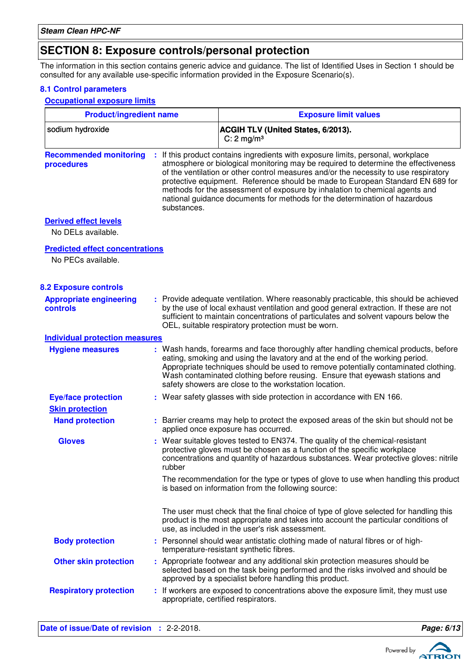### **SECTION 8: Exposure controls/personal protection**

The information in this section contains generic advice and guidance. The list of Identified Uses in Section 1 should be consulted for any available use-specific information provided in the Exposure Scenario(s).

#### **8.1 Control parameters**

**Occupational exposure limits**

| <b>Product/ingredient name</b>                     |             | <b>Exposure limit values</b>                                                                                                                                                                                                                                                                                                                                                                                                                                                                                  |  |  |
|----------------------------------------------------|-------------|---------------------------------------------------------------------------------------------------------------------------------------------------------------------------------------------------------------------------------------------------------------------------------------------------------------------------------------------------------------------------------------------------------------------------------------------------------------------------------------------------------------|--|--|
| sodium hydroxide                                   |             | <b>ACGIH TLV (United States, 6/2013).</b><br>C: $2 \text{ mg/m}^3$                                                                                                                                                                                                                                                                                                                                                                                                                                            |  |  |
| <b>Recommended monitoring</b><br>procedures        | substances. | : If this product contains ingredients with exposure limits, personal, workplace<br>atmosphere or biological monitoring may be required to determine the effectiveness<br>of the ventilation or other control measures and/or the necessity to use respiratory<br>protective equipment. Reference should be made to European Standard EN 689 for<br>methods for the assessment of exposure by inhalation to chemical agents and<br>national guidance documents for methods for the determination of hazardous |  |  |
| <b>Derived effect levels</b><br>No DELs available. |             |                                                                                                                                                                                                                                                                                                                                                                                                                                                                                                               |  |  |
| <b>Predicted effect concentrations</b>             |             |                                                                                                                                                                                                                                                                                                                                                                                                                                                                                                               |  |  |
| No PECs available.                                 |             |                                                                                                                                                                                                                                                                                                                                                                                                                                                                                                               |  |  |
|                                                    |             |                                                                                                                                                                                                                                                                                                                                                                                                                                                                                                               |  |  |
| <b>8.2 Exposure controls</b>                       |             |                                                                                                                                                                                                                                                                                                                                                                                                                                                                                                               |  |  |
| <b>Appropriate engineering</b><br>controls         |             | : Provide adequate ventilation. Where reasonably practicable, this should be achieved<br>by the use of local exhaust ventilation and good general extraction. If these are not<br>sufficient to maintain concentrations of particulates and solvent vapours below the<br>OEL, suitable respiratory protection must be worn.                                                                                                                                                                                   |  |  |
| <b>Individual protection measures</b>              |             |                                                                                                                                                                                                                                                                                                                                                                                                                                                                                                               |  |  |
| <b>Hygiene measures</b>                            |             | : Wash hands, forearms and face thoroughly after handling chemical products, before<br>eating, smoking and using the lavatory and at the end of the working period.<br>Appropriate techniques should be used to remove potentially contaminated clothing.<br>Wash contaminated clothing before reusing. Ensure that eyewash stations and<br>safety showers are close to the workstation location.                                                                                                             |  |  |
| <b>Eye/face protection</b>                         |             | : Wear safety glasses with side protection in accordance with EN 166.                                                                                                                                                                                                                                                                                                                                                                                                                                         |  |  |
| <b>Skin protection</b>                             |             |                                                                                                                                                                                                                                                                                                                                                                                                                                                                                                               |  |  |
| <b>Hand protection</b>                             |             | : Barrier creams may help to protect the exposed areas of the skin but should not be<br>applied once exposure has occurred.                                                                                                                                                                                                                                                                                                                                                                                   |  |  |
| <b>Gloves</b>                                      | rubber      | : Wear suitable gloves tested to EN374. The quality of the chemical-resistant<br>protective gloves must be chosen as a function of the specific workplace<br>concentrations and quantity of hazardous substances. Wear protective gloves: nitrile                                                                                                                                                                                                                                                             |  |  |
|                                                    |             | The recommendation for the type or types of glove to use when handling this product<br>is based on information from the following source:                                                                                                                                                                                                                                                                                                                                                                     |  |  |
|                                                    |             | The user must check that the final choice of type of glove selected for handling this<br>product is the most appropriate and takes into account the particular conditions of<br>use, as included in the user's risk assessment.                                                                                                                                                                                                                                                                               |  |  |
| <b>Body protection</b>                             |             | : Personnel should wear antistatic clothing made of natural fibres or of high-<br>temperature-resistant synthetic fibres.                                                                                                                                                                                                                                                                                                                                                                                     |  |  |
| <b>Other skin protection</b>                       |             | : Appropriate footwear and any additional skin protection measures should be<br>selected based on the task being performed and the risks involved and should be<br>approved by a specialist before handling this product.                                                                                                                                                                                                                                                                                     |  |  |
| <b>Respiratory protection</b>                      |             | : If workers are exposed to concentrations above the exposure limit, they must use<br>appropriate, certified respirators.                                                                                                                                                                                                                                                                                                                                                                                     |  |  |

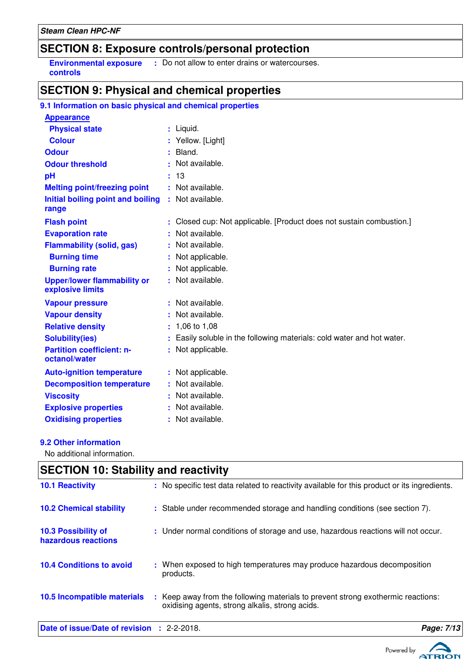### **SECTION 8: Exposure controls/personal protection**

**Environmental exposure** : Do not allow to enter drains or watercourses. **controls**

### **SECTION 9: Physical and chemical properties**

| <b>Appearance</b>                                      |    |                                                                      |
|--------------------------------------------------------|----|----------------------------------------------------------------------|
| <b>Physical state</b>                                  |    | : Liquid.                                                            |
| <b>Colour</b>                                          |    | Yellow. [Light]                                                      |
| <b>Odour</b>                                           |    | : Bland.                                                             |
| <b>Odour threshold</b>                                 |    | Not available.                                                       |
| pH                                                     |    | : 13                                                                 |
| <b>Melting point/freezing point</b>                    |    | Not available.                                                       |
| Initial boiling point and boiling<br>range             |    | : Not available.                                                     |
| <b>Flash point</b>                                     |    | Closed cup: Not applicable. [Product does not sustain combustion.]   |
| <b>Evaporation rate</b>                                |    | Not available.                                                       |
| <b>Flammability (solid, gas)</b>                       | ÷. | Not available.                                                       |
| <b>Burning time</b>                                    |    | Not applicable.                                                      |
| <b>Burning rate</b>                                    |    | Not applicable.                                                      |
| <b>Upper/lower flammability or</b><br>explosive limits |    | : Not available.                                                     |
| <b>Vapour pressure</b>                                 |    | : Not available.                                                     |
| <b>Vapour density</b>                                  |    | Not available.                                                       |
| <b>Relative density</b>                                | t. | 1,06 to 1,08                                                         |
| <b>Solubility(ies)</b>                                 |    | Easily soluble in the following materials: cold water and hot water. |
| <b>Partition coefficient: n-</b><br>octanol/water      |    | Not applicable.                                                      |
| <b>Auto-ignition temperature</b>                       | ÷  | Not applicable.                                                      |
| <b>Decomposition temperature</b>                       |    | Not available.                                                       |
| <b>Viscosity</b>                                       |    | Not available.                                                       |
| <b>Explosive properties</b>                            |    | Not available.                                                       |
| <b>Oxidising properties</b>                            |    | : Not available.                                                     |

### **9.2 Other information**

No additional information.

| <b>SECTION 10: Stability and reactivity</b> |                                                                                                                                     |            |  |  |
|---------------------------------------------|-------------------------------------------------------------------------------------------------------------------------------------|------------|--|--|
| <b>10.1 Reactivity</b>                      | : No specific test data related to reactivity available for this product or its ingredients.                                        |            |  |  |
| <b>10.2 Chemical stability</b>              | : Stable under recommended storage and handling conditions (see section 7).                                                         |            |  |  |
| 10.3 Possibility of<br>hazardous reactions  | : Under normal conditions of storage and use, hazardous reactions will not occur.                                                   |            |  |  |
| <b>10.4 Conditions to avoid</b>             | : When exposed to high temperatures may produce hazardous decomposition<br>products.                                                |            |  |  |
| 10.5 Incompatible materials                 | : Keep away from the following materials to prevent strong exothermic reactions:<br>oxidising agents, strong alkalis, strong acids. |            |  |  |
| Date of issue/Date of revision : 2-2-2018.  |                                                                                                                                     | Page: 7/13 |  |  |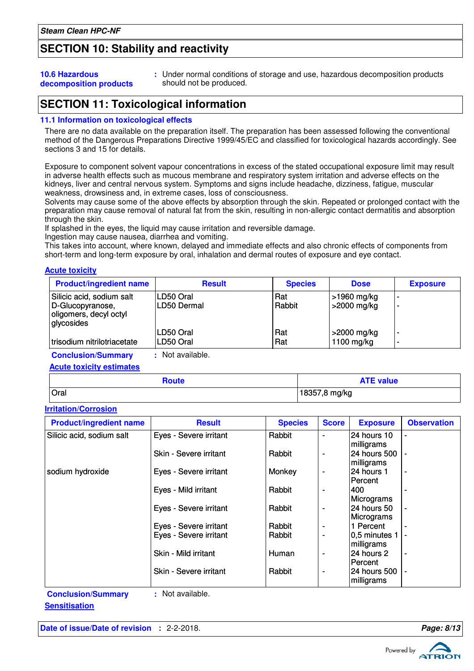### **SECTION 10: Stability and reactivity**

#### **10.6 Hazardous decomposition products**

**:** Under normal conditions of storage and use, hazardous decomposition products should not be produced.

### **SECTION 11: Toxicological information**

#### **11.1 Information on toxicological effects**

There are no data available on the preparation itself. The preparation has been assessed following the conventional method of the Dangerous Preparations Directive 1999/45/EC and classified for toxicological hazards accordingly. See sections 3 and 15 for details.

Exposure to component solvent vapour concentrations in excess of the stated occupational exposure limit may result in adverse health effects such as mucous membrane and respiratory system irritation and adverse effects on the kidneys, liver and central nervous system. Symptoms and signs include headache, dizziness, fatigue, muscular weakness, drowsiness and, in extreme cases, loss of consciousness.

Solvents may cause some of the above effects by absorption through the skin. Repeated or prolonged contact with the preparation may cause removal of natural fat from the skin, resulting in non-allergic contact dermatitis and absorption through the skin.

If splashed in the eyes, the liquid may cause irritation and reversible damage.

Ingestion may cause nausea, diarrhea and vomiting.

This takes into account, where known, delayed and immediate effects and also chronic effects of components from short-term and long-term exposure by oral, inhalation and dermal routes of exposure and eye contact.

#### **Acute toxicity**

| <b>Product/ingredient name</b>                                                        | <b>Result</b>            | <b>Species</b> | <b>Dose</b>                 | <b>Exposure</b> |
|---------------------------------------------------------------------------------------|--------------------------|----------------|-----------------------------|-----------------|
| Silicic acid, sodium salt<br>D-Glucopyranose,<br>oligomers, decyl octyl<br>glycosides | LD50 Oral<br>LD50 Dermal | Rat<br>Rabbit  | >1960 mg/kg<br> >2000 mg/kg |                 |
| trisodium nitrilotriacetate                                                           | LD50 Oral<br>LD50 Oral   | Rat<br>Rat     | >2000 mg/kg<br>1100 mg/kg   |                 |
| <b>Conclusion/Summary</b><br><b>Acute toxicity estimates</b>                          | : Not available.         |                |                             |                 |

| ,oute | <b>NTE value</b> |
|-------|------------------|
| Oral  | 18357<br>mg/kg   |

#### **Irritation/Corrosion**

| <b>Product/ingredient name</b> | <b>Result</b>          | <b>Species</b> | <b>Score</b> | <b>Exposure</b>            | <b>Observation</b> |
|--------------------------------|------------------------|----------------|--------------|----------------------------|--------------------|
| Silicic acid, sodium salt      | Eyes - Severe irritant | Rabbit         | ۰            | <b>24 hours 10</b>         | ٠                  |
|                                | Skin - Severe irritant | Rabbit         |              | milligrams<br>24 hours 500 |                    |
|                                |                        |                |              | milligrams                 |                    |
| sodium hydroxide               | Eyes - Severe irritant | Monkey         |              | 24 hours 1<br>lPercent     | $\blacksquare$     |
|                                | Eyes - Mild irritant   | Rabbit         |              | 400                        |                    |
|                                | Eyes - Severe irritant | Rabbit         |              | Micrograms<br>24 hours 50  | $\blacksquare$     |
|                                |                        |                |              | Micrograms                 |                    |
|                                | Eyes - Severe irritant | Rabbit         |              | 1 Percent                  |                    |
|                                | Eyes - Severe irritant | Rabbit         |              | 0,5 minutes 1              |                    |
|                                |                        |                |              | milligrams                 |                    |
|                                | Skin - Mild irritant   | <b>Human</b>   | ٠            | 24 hours 2<br>Percent      | $\blacksquare$     |
|                                | Skin - Severe irritant | Rabbit         |              | l24 hours 500              |                    |
|                                |                        |                |              | milligrams                 |                    |

**Conclusion/Summary :** Not available.





**Sensitisation**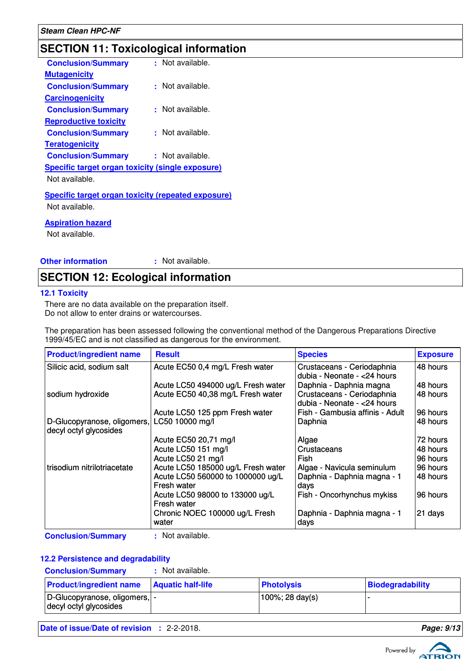## **SECTION 11: Toxicological information**

| <b>Conclusion/Summary</b>                                 | : Not available.     |
|-----------------------------------------------------------|----------------------|
| <b>Mutagenicity</b>                                       |                      |
| <b>Conclusion/Summary</b>                                 | $\pm$ Not available. |
| <b>Carcinogenicity</b>                                    |                      |
| <b>Conclusion/Summary</b>                                 | Not available.       |
| <b>Reproductive toxicity</b>                              |                      |
| <b>Conclusion/Summary</b>                                 | $\pm$ Not available. |
| <b>Teratogenicity</b>                                     |                      |
| <b>Conclusion/Summary</b>                                 | $\pm$ Not available. |
| Specific target organ toxicity (single exposure)          |                      |
| Not available.                                            |                      |
| <b>Specific target organ toxicity (repeated exposure)</b> |                      |
| Not available.                                            |                      |
|                                                           |                      |

**Aspiration hazard**

Not available.

**Other information :**

: Not available.

### **SECTION 12: Ecological information**

#### **12.1 Toxicity**

There are no data available on the preparation itself. Do not allow to enter drains or watercourses.

The preparation has been assessed following the conventional method of the Dangerous Preparations Directive 1999/45/EC and is not classified as dangerous for the environment.

| <b>Product/ingredient name</b>                        | <b>Result</b>                                                                                                             | <b>Species</b>                                                                                  | <b>Exposure</b>                  |
|-------------------------------------------------------|---------------------------------------------------------------------------------------------------------------------------|-------------------------------------------------------------------------------------------------|----------------------------------|
| Silicic acid, sodium salt                             | Acute EC50 0,4 mg/L Fresh water                                                                                           | Crustaceans - Ceriodaphnia<br>dubia - Neonate - < 24 hours                                      | 48 hours                         |
| sodium hydroxide                                      | Acute LC50 494000 ug/L Fresh water<br>Acute EC50 40,38 mg/L Fresh water                                                   | Daphnia - Daphnia magna<br>Crustaceans - Ceriodaphnia<br>dubia - Neonate - < 24 hours           | 48 hours<br>48 hours             |
| D-Glucopyranose, oligomers,<br>decyl octyl glycosides | Acute LC50 125 ppm Fresh water<br>LC50 10000 mg/l                                                                         | Fish - Gambusia affinis - Adult<br>Daphnia                                                      | 96 hours<br>48 hours             |
|                                                       | Acute EC50 20,71 mg/l<br>Acute LC50 151 mg/l<br>Acute LC50 21 mg/l                                                        | Algae<br>Crustaceans<br>Fish                                                                    | 72 hours<br>48 hours<br>96 hours |
| trisodium nitrilotriacetate                           | Acute LC50 185000 ug/L Fresh water<br>Acute LC50 560000 to 1000000 ug/L<br>Fresh water<br>Acute LC50 98000 to 133000 ug/L | Algae - Navicula seminulum<br>Daphnia - Daphnia magna - 1<br>days<br>Fish - Oncorhynchus mykiss | 96 hours<br>48 hours<br>96 hours |
|                                                       | Fresh water<br>Chronic NOEC 100000 ug/L Fresh<br>water                                                                    | Daphnia - Daphnia magna - 1<br>days                                                             | 21 days                          |

**Conclusion/Summary :** Not available.

#### **12.2 Persistence and degradability**

**Conclusion/Summary :** Not available.

| <b>Product/ingredient name</b>                           | <b>Aquatic half-life</b> | <b>Photolysis</b> | Biodegradability |
|----------------------------------------------------------|--------------------------|-------------------|------------------|
| D-Glucopyranose, oligomers,  -<br>decyl octyl glycosides |                          | 100%; 28 day(s)   |                  |

**Date of issue/Date of revision :** 2-2-2018. **Page: 9/13**

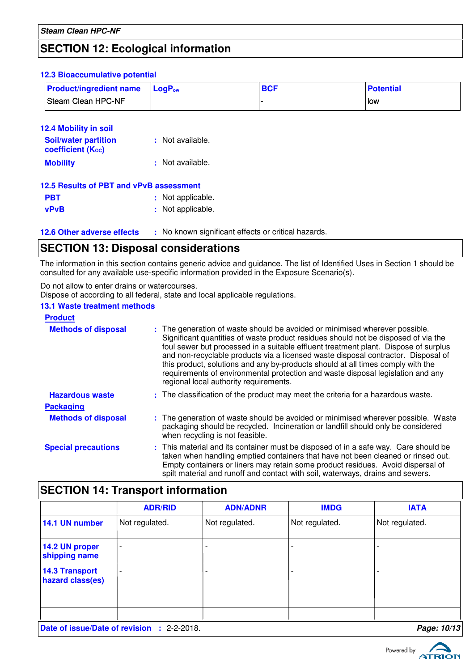### **SECTION 12: Ecological information**

#### **12.3 Bioaccumulative potential**

| <b>Product/ingredient name</b> LogP <sub>ow</sub> | <b>BCF</b> | <b>Potential</b> |
|---------------------------------------------------|------------|------------------|
| Steam Clean HPC-NF                                |            | low              |

| 12.4 Mobility in soil<br><b>Soil/water partition</b><br>coefficient (Koc) | : Not available.  |
|---------------------------------------------------------------------------|-------------------|
| <b>Mobility</b>                                                           | : Not available.  |
| 12.5 Results of PBT and vPvB assessment                                   |                   |
| PBT                                                                       | : Not applicable. |
| <b>vPvB</b>                                                               | : Not applicable. |

**12.6 Other adverse effects** : No known significant effects or critical hazards.

### **SECTION 13: Disposal considerations**

The information in this section contains generic advice and guidance. The list of Identified Uses in Section 1 should be consulted for any available use-specific information provided in the Exposure Scenario(s).

Do not allow to enter drains or watercourses.

Dispose of according to all federal, state and local applicable regulations.

#### **13.1 Waste treatment methods**

| <b>Product</b>             |                                                                                                                                                                                                                                                                                                                                                                                                                                                                                                                                                               |
|----------------------------|---------------------------------------------------------------------------------------------------------------------------------------------------------------------------------------------------------------------------------------------------------------------------------------------------------------------------------------------------------------------------------------------------------------------------------------------------------------------------------------------------------------------------------------------------------------|
| <b>Methods of disposal</b> | : The generation of waste should be avoided or minimised wherever possible.<br>Significant quantities of waste product residues should not be disposed of via the<br>foul sewer but processed in a suitable effluent treatment plant. Dispose of surplus<br>and non-recyclable products via a licensed waste disposal contractor. Disposal of<br>this product, solutions and any by-products should at all times comply with the<br>requirements of environmental protection and waste disposal legislation and any<br>regional local authority requirements. |
| <b>Hazardous waste</b>     | : The classification of the product may meet the criteria for a hazardous waste.                                                                                                                                                                                                                                                                                                                                                                                                                                                                              |
| <b>Packaging</b>           |                                                                                                                                                                                                                                                                                                                                                                                                                                                                                                                                                               |
| <b>Methods of disposal</b> | : The generation of waste should be avoided or minimised wherever possible. Waste<br>packaging should be recycled. Incineration or landfill should only be considered<br>when recycling is not feasible.                                                                                                                                                                                                                                                                                                                                                      |
| <b>Special precautions</b> | : This material and its container must be disposed of in a safe way. Care should be<br>taken when handling emptied containers that have not been cleaned or rinsed out.<br>Empty containers or liners may retain some product residues. Avoid dispersal of<br>spilt material and runoff and contact with soil, waterways, drains and sewers.                                                                                                                                                                                                                  |

### **SECTION 14: Transport information**

|                                           | <b>ADR/RID</b>           | <b>ADN/ADNR</b> | <b>IMDG</b>    | <b>IATA</b>    |
|-------------------------------------------|--------------------------|-----------------|----------------|----------------|
| 14.1 UN number                            | Not regulated.           | Not regulated.  | Not regulated. | Not regulated. |
| 14.2 UN proper<br>shipping name           | $\overline{\phantom{0}}$ |                 |                |                |
| <b>14.3 Transport</b><br>hazard class(es) | $\overline{a}$           |                 |                |                |
|                                           |                          |                 |                |                |

**Date of issue/Date of revision :** 2-2-2018. **Page: 10/13 Page: 10/13** 

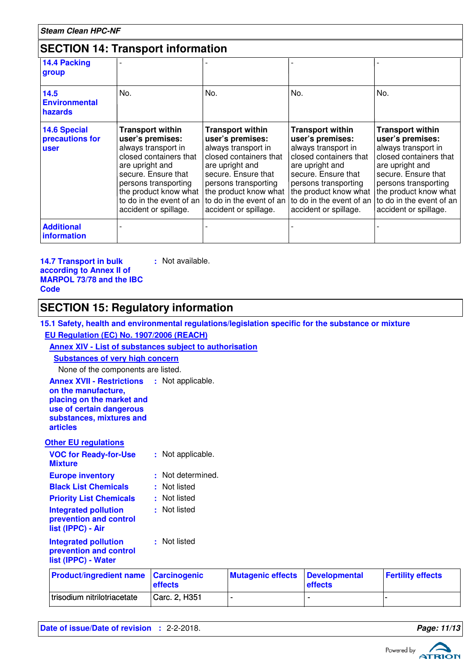| <b>Steam Clean HPC-NF</b>                             |                                                                                                                                                                                                                                              |                                                                                                                                                                                                                                              |                                                                                                                                                                                                                                              |                                                                                                                                                                                                                                              |
|-------------------------------------------------------|----------------------------------------------------------------------------------------------------------------------------------------------------------------------------------------------------------------------------------------------|----------------------------------------------------------------------------------------------------------------------------------------------------------------------------------------------------------------------------------------------|----------------------------------------------------------------------------------------------------------------------------------------------------------------------------------------------------------------------------------------------|----------------------------------------------------------------------------------------------------------------------------------------------------------------------------------------------------------------------------------------------|
|                                                       | <b>SECTION 14: Transport information</b>                                                                                                                                                                                                     |                                                                                                                                                                                                                                              |                                                                                                                                                                                                                                              |                                                                                                                                                                                                                                              |
| 14.4 Packing<br>group                                 |                                                                                                                                                                                                                                              |                                                                                                                                                                                                                                              |                                                                                                                                                                                                                                              |                                                                                                                                                                                                                                              |
| 14.5<br><b>Environmental</b><br>hazards               | No.                                                                                                                                                                                                                                          | No.                                                                                                                                                                                                                                          | No.                                                                                                                                                                                                                                          | No.                                                                                                                                                                                                                                          |
| <b>14.6 Special</b><br>precautions for<br><b>user</b> | <b>Transport within</b><br>user's premises:<br>always transport in<br>closed containers that<br>are upright and<br>secure. Ensure that<br>persons transporting<br>the product know what<br>to do in the event of an<br>accident or spillage. | <b>Transport within</b><br>user's premises:<br>always transport in<br>closed containers that<br>are upright and<br>secure. Ensure that<br>persons transporting<br>the product know what<br>to do in the event of an<br>accident or spillage. | <b>Transport within</b><br>user's premises:<br>always transport in<br>closed containers that<br>are upright and<br>secure. Ensure that<br>persons transporting<br>the product know what<br>to do in the event of an<br>accident or spillage. | <b>Transport within</b><br>user's premises:<br>always transport in<br>closed containers that<br>are upright and<br>secure. Ensure that<br>persons transporting<br>the product know what<br>to do in the event of an<br>accident or spillage. |
| <b>Additional</b><br><i>information</i>               |                                                                                                                                                                                                                                              |                                                                                                                                                                                                                                              |                                                                                                                                                                                                                                              |                                                                                                                                                                                                                                              |

#### **14.7 Transport in bulk according to Annex II of MARPOL 73/78 and the IBC Code**

### **SECTION 15: Regulatory information**

**15.1 Safety, health and environmental regulations/legislation specific for the substance or mixture**

**EU Regulation (EC) No. 1907/2006 (REACH)**

### **Annex XIV - List of substances subject to authorisation**

**:** Not available.

**Substances of very high concern**

None of the components are listed.

| <b>Annex XVII - Restrictions</b><br>on the manufacture,<br>placing on the market and<br>use of certain dangerous<br>substances, mixtures and<br><b>articles</b> |    | : Not applicable. |
|-----------------------------------------------------------------------------------------------------------------------------------------------------------------|----|-------------------|
| <b>Other EU regulations</b>                                                                                                                                     |    |                   |
| <b>VOC for Ready-for-Use</b><br><b>Mixture</b>                                                                                                                  | t. | Not applicable.   |
| <b>Europe inventory</b>                                                                                                                                         | ŧ. | Not determined.   |
| <b>Black List Chemicals</b>                                                                                                                                     |    | : Not listed      |
| <b>Priority List Chemicals</b>                                                                                                                                  |    | : Not listed      |
| <b>Integrated pollution</b><br>prevention and control<br>list (IPPC) - Air                                                                                      |    | : Not listed      |
| <b>Integrated pollution</b><br>prevention and control<br>list (IPPC) - Water                                                                                    |    | : Not listed      |
| the contract of the contract of the                                                                                                                             |    |                   |

| <b>Product/ingredient name Carcinogenic</b> | effects       | Mutagenic effects Developmental | effects | <b>Fertility effects</b> |
|---------------------------------------------|---------------|---------------------------------|---------|--------------------------|
| trisodium nitrilotriacetate                 | Carc. 2, H351 |                                 |         |                          |

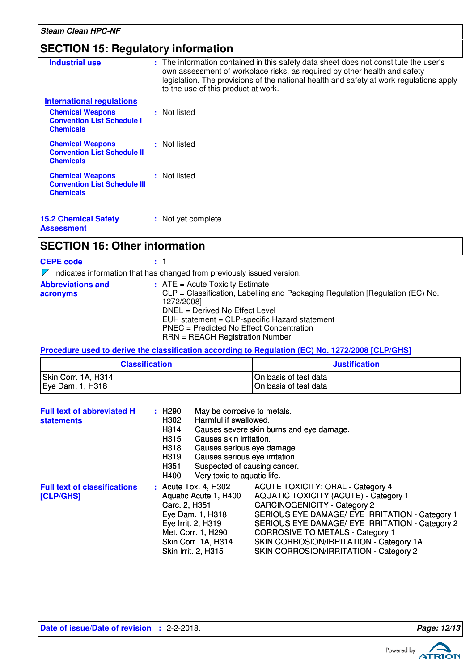### **SECTION 15: Regulatory information**

| <b>Industrial use</b>                                                              | : The information contained in this safety data sheet does not constitute the user's<br>own assessment of workplace risks, as required by other health and safety<br>legislation. The provisions of the national health and safety at work regulations apply<br>to the use of this product at work. |
|------------------------------------------------------------------------------------|-----------------------------------------------------------------------------------------------------------------------------------------------------------------------------------------------------------------------------------------------------------------------------------------------------|
| <b>International regulations</b>                                                   |                                                                                                                                                                                                                                                                                                     |
| <b>Chemical Weapons</b><br><b>Convention List Schedule I</b><br><b>Chemicals</b>   | : Not listed                                                                                                                                                                                                                                                                                        |
| <b>Chemical Weapons</b><br><b>Convention List Schedule II</b><br><b>Chemicals</b>  | : Not listed                                                                                                                                                                                                                                                                                        |
| <b>Chemical Weapons</b><br><b>Convention List Schedule III</b><br><b>Chemicals</b> | : Not listed                                                                                                                                                                                                                                                                                        |
| <b>15.2 Chemical Safety</b>                                                        | : Not yet complete.                                                                                                                                                                                                                                                                                 |

**Assessment**

### **SECTION 16: Other information**

**CEPE code :** 1  $\nabla$  Indicates information that has changed from previously issued version. **Abbreviations and acronyms :** ATE = Acute Toxicity Estimate CLP = Classification, Labelling and Packaging Regulation [Regulation (EC) No. 1272/2008] DNEL = Derived No Effect Level EUH statement = CLP-specific Hazard statement PNEC = Predicted No Effect Concentration

RRN = REACH Registration Number

#### **Procedure used to derive the classification according to Regulation (EC) No. 1272/2008 [CLP/GHS]**

| <b>Classification</b> | <b>Justification</b>   |
|-----------------------|------------------------|
| Skin Corr. 1A, H314   | IOn basis of test data |
| Eye Dam. 1, H318      | On basis of test data  |

| <b>Full text of abbreviated H</b><br><b>statements</b> | May be corrosive to metals.<br>$:$ H290<br>Harmful if swallowed.<br>H302<br>H314<br>Causes skin irritation.<br>H315<br>H318<br>Causes serious eye damage.<br>H319<br>Causes serious eye irritation.<br>H351<br>Suspected of causing cancer.<br>Very toxic to aquatic life.<br>H400 | Causes severe skin burns and eye damage.                                                                                                                                                                                                                                                                                                                              |
|--------------------------------------------------------|------------------------------------------------------------------------------------------------------------------------------------------------------------------------------------------------------------------------------------------------------------------------------------|-----------------------------------------------------------------------------------------------------------------------------------------------------------------------------------------------------------------------------------------------------------------------------------------------------------------------------------------------------------------------|
| <b>Full text of classifications</b><br>[CLP/GHS]       | : Acute Tox. 4, H302<br>Aquatic Acute 1, H400<br>Carc. 2, H351<br>Eye Dam. 1, H318<br>Eye Irrit. 2, H319<br>Met. Corr. 1, H290<br>Skin Corr. 1A, H314<br>Skin Irrit. 2, H315                                                                                                       | <b>ACUTE TOXICITY: ORAL - Category 4</b><br><b>AQUATIC TOXICITY (ACUTE) - Category 1</b><br><b>CARCINOGENICITY - Category 2</b><br>SERIOUS EYE DAMAGE/ EYE IRRITATION - Category 1<br>SERIOUS EYE DAMAGE/ EYE IRRITATION - Category 2<br><b>CORROSIVE TO METALS - Category 1</b><br>SKIN CORROSION/IRRITATION - Category 1A<br>SKIN CORROSION/IRRITATION - Category 2 |